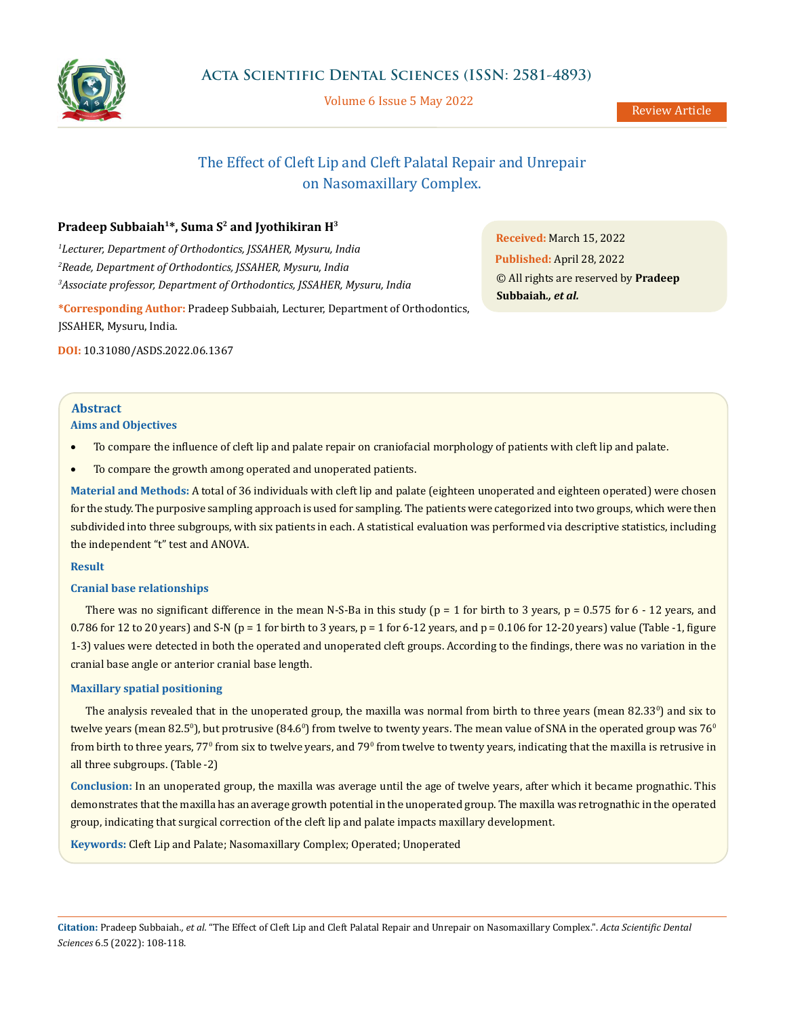

Volume 6 Issue 5 May 2022

# The Effect of Cleft Lip and Cleft Palatal Repair and Unrepair on Nasomaxillary Complex.

# Pradeep Subbaiah<sup>1\*</sup>, Suma S<sup>2</sup> and Jyothikiran H<sup>3</sup>

*1 Lecturer, Department of Orthodontics, JSSAHER, Mysuru, India 2 Reade, Department of Orthodontics, JSSAHER, Mysuru, India 3 Associate professor, Department of Orthodontics, JSSAHER, Mysuru, India*

**\*Corresponding Author:** Pradeep Subbaiah, Lecturer, Department of Orthodontics, JSSAHER, Mysuru, India.

**DOI:** [10.31080/ASDS.2022.06.1367](http://actascientific.com/ASDS/pdf/ASDS-06-1367.pdf)

**Received:** March 15, 2022 **Published:** April 28, 2022 © All rights are reserved by **Pradeep Subbaiah***., et al.*

# **Abstract**

# **Aims and Objectives**

- To compare the influence of cleft lip and palate repair on craniofacial morphology of patients with cleft lip and palate.
- To compare the growth among operated and unoperated patients.

**Material and Methods:** A total of 36 individuals with cleft lip and palate (eighteen unoperated and eighteen operated) were chosen for the study. The purposive sampling approach is used for sampling. The patients were categorized into two groups, which were then subdivided into three subgroups, with six patients in each. A statistical evaluation was performed via descriptive statistics, including the independent "t" test and ANOVA.

# **Result**

# **Cranial base relationships**

There was no significant difference in the mean N-S-Ba in this study ( $p = 1$  for birth to 3 years,  $p = 0.575$  for 6 - 12 years, and 0.786 for 12 to 20 years) and S-N ( $p = 1$  for birth to 3 years,  $p = 1$  for 6-12 years, and  $p = 0.106$  for 12-20 years) value (Table -1, figure 1-3) values were detected in both the operated and unoperated cleft groups. According to the findings, there was no variation in the cranial base angle or anterior cranial base length.

# **Maxillary spatial positioning**

The analysis revealed that in the unoperated group, the maxilla was normal from birth to three years (mean 82.33º) and six to twelve years (mean 82.5º), but protrusive (84.6º) from twelve to twenty years. The mean value of SNA in the operated group was  $76^{\circ}$ from birth to three years, 77º from six to twelve years, and 79º from twelve to twenty years, indicating that the maxilla is retrusive in all three subgroups. (Table -2)

**Conclusion:** In an unoperated group, the maxilla was average until the age of twelve years, after which it became prognathic. This demonstrates that the maxilla has an average growth potential in the unoperated group. The maxilla was retrognathic in the operated group, indicating that surgical correction of the cleft lip and palate impacts maxillary development.

**Keywords:** Cleft Lip and Palate; Nasomaxillary Complex; Operated; Unoperated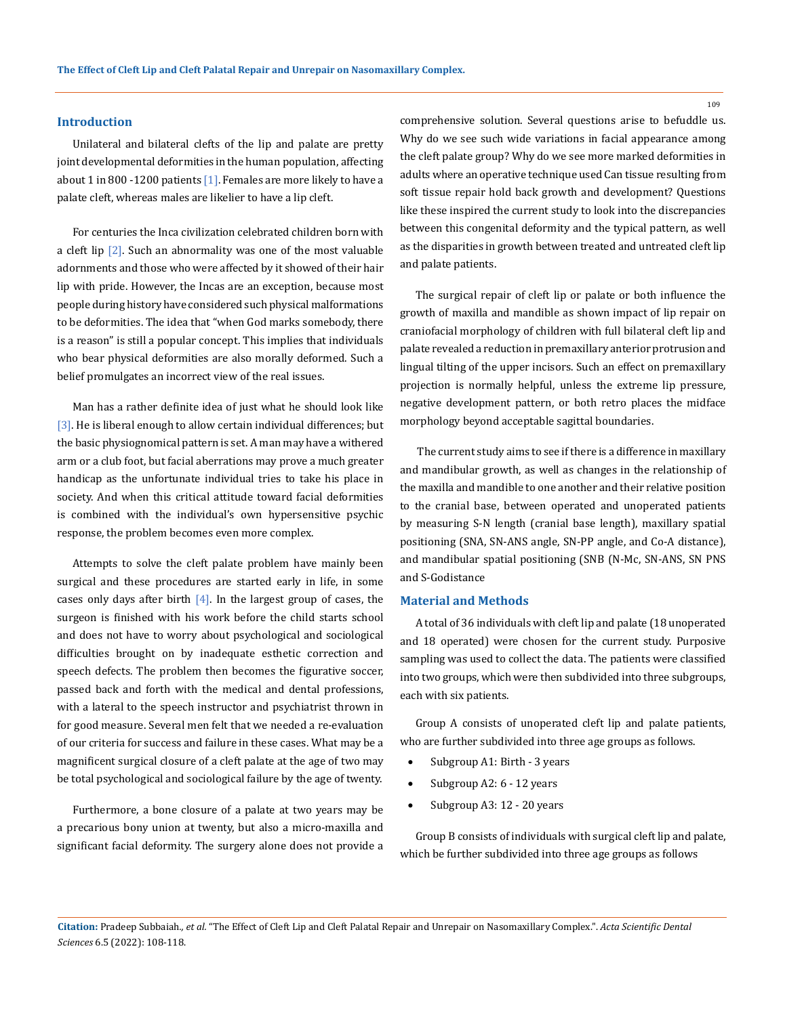### **Introduction**

Unilateral and bilateral clefts of the lip and palate are pretty joint developmental deformities in the human population, affecting about 1 in 800 -1200 patients  $[1]$ . Females are more likely to have a palate cleft, whereas males are likelier to have a lip cleft.

For centuries the Inca civilization celebrated children born with a cleft lip [2]. Such an abnormality was one of the most valuable adornments and those who were affected by it showed of their hair lip with pride. However, the Incas are an exception, because most people during history have considered such physical malformations to be deformities. The idea that "when God marks somebody, there is a reason" is still a popular concept. This implies that individuals who bear physical deformities are also morally deformed. Such a belief promulgates an incorrect view of the real issues.

Man has a rather definite idea of just what he should look like [3]. He is liberal enough to allow certain individual differences; but the basic physiognomical pattern is set. A man may have a withered arm or a club foot, but facial aberrations may prove a much greater handicap as the unfortunate individual tries to take his place in society. And when this critical attitude toward facial deformities is combined with the individual's own hypersensitive psychic response, the problem becomes even more complex.

Attempts to solve the cleft palate problem have mainly been surgical and these procedures are started early in life, in some cases only days after birth  $[4]$ . In the largest group of cases, the surgeon is finished with his work before the child starts school and does not have to worry about psychological and sociological difficulties brought on by inadequate esthetic correction and speech defects. The problem then becomes the figurative soccer, passed back and forth with the medical and dental professions, with a lateral to the speech instructor and psychiatrist thrown in for good measure. Several men felt that we needed a re-evaluation of our criteria for success and failure in these cases. What may be a magnificent surgical closure of a cleft palate at the age of two may be total psychological and sociological failure by the age of twenty.

Furthermore, a bone closure of a palate at two years may be a precarious bony union at twenty, but also a micro-maxilla and significant facial deformity. The surgery alone does not provide a comprehensive solution. Several questions arise to befuddle us. Why do we see such wide variations in facial appearance among the cleft palate group? Why do we see more marked deformities in adults where an operative technique used Can tissue resulting from soft tissue repair hold back growth and development? Questions like these inspired the current study to look into the discrepancies between this congenital deformity and the typical pattern, as well as the disparities in growth between treated and untreated cleft lip and palate patients.

The surgical repair of cleft lip or palate or both influence the growth of maxilla and mandible as shown impact of lip repair on craniofacial morphology of children with full bilateral cleft lip and palate revealed a reduction in premaxillary anterior protrusion and lingual tilting of the upper incisors. Such an effect on premaxillary projection is normally helpful, unless the extreme lip pressure, negative development pattern, or both retro places the midface morphology beyond acceptable sagittal boundaries.

 The current study aims to see if there is a difference in maxillary and mandibular growth, as well as changes in the relationship of the maxilla and mandible to one another and their relative position to the cranial base, between operated and unoperated patients by measuring S-N length (cranial base length), maxillary spatial positioning (SNA, SN-ANS angle, SN-PP angle, and Co-A distance), and mandibular spatial positioning (SNB (N-Mc, SN-ANS, SN PNS and S-Godistance

### **Material and Methods**

A total of 36 individuals with cleft lip and palate (18 unoperated and 18 operated) were chosen for the current study. Purposive sampling was used to collect the data. The patients were classified into two groups, which were then subdivided into three subgroups, each with six patients.

Group A consists of unoperated cleft lip and palate patients, who are further subdivided into three age groups as follows.

- Subgroup A1: Birth 3 years
- Subgroup A2: 6 12 years
- Subgroup A3: 12 20 years

Group B consists of individuals with surgical cleft lip and palate, which be further subdivided into three age groups as follows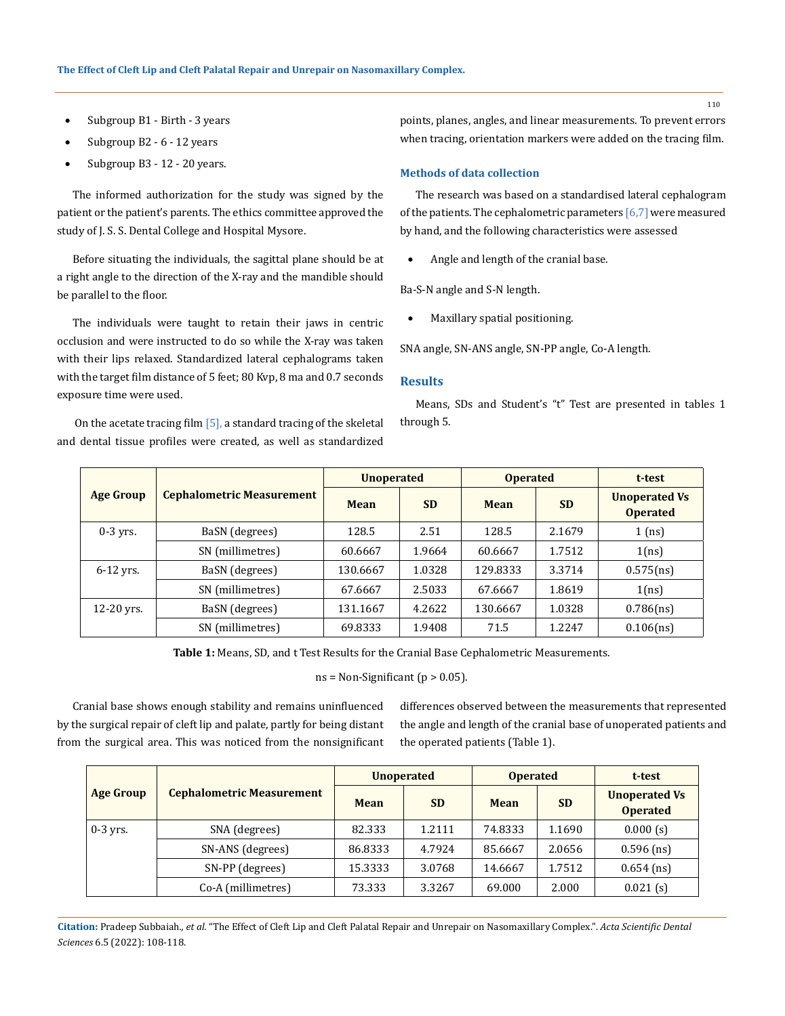- Subgroup B1 Birth 3 years
- Subgroup B2 6 12 years
- Subgroup B3 12 20 years.

The informed authorization for the study was signed by the patient or the patient's parents. The ethics committee approved the study of J. S. S. Dental College and Hospital Mysore.

Before situating the individuals, the sagittal plane should be at a right angle to the direction of the X-ray and the mandible should be parallel to the floor.

The individuals were taught to retain their jaws in centric occlusion and were instructed to do so while the X-ray was taken with their lips relaxed. Standardized lateral cephalograms taken with the target film distance of 5 feet; 80 Kvp, 8 ma and 0.7 seconds exposure time were used.

 On the acetate tracing film [5], a standard tracing of the skeletal and dental tissue profiles were created, as well as standardized points, planes, angles, and linear measurements. To prevent errors when tracing, orientation markers were added on the tracing film.

### **Methods of data collection**

The research was based on a standardised lateral cephalogram of the patients. The cephalometric parameters [6,7] were measured by hand, and the following characteristics were assessed

Angle and length of the cranial base.

Ba-S-N angle and S-N length.

Maxillary spatial positioning.

SNA angle, SN-ANS angle, SN-PP angle, Co-A length.

### **Results**

Means, SDs and Student's "t" Test are presented in tables 1 through 5.

|                  |                                  | <b>Unoperated</b> |           | <b>Operated</b> |           | t-test                                  |
|------------------|----------------------------------|-------------------|-----------|-----------------|-----------|-----------------------------------------|
| <b>Age Group</b> | <b>Cephalometric Measurement</b> | Mean              | <b>SD</b> | <b>Mean</b>     | <b>SD</b> | <b>Unoperated Vs</b><br><b>Operated</b> |
| $0-3$ yrs.       | BaSN (degrees)                   | 128.5             | 2.51      | 128.5           | 2.1679    | $1$ (ns)                                |
|                  | SN (millimetres)                 | 60.6667           | 1.9664    | 60.6667         | 1.7512    | 1(ns)                                   |
| $6-12$ yrs.      | BaSN (degrees)                   | 130.6667          | 1.0328    | 129.8333        | 3.3714    | 0.575(ns)                               |
|                  | SN (millimetres)                 | 67.6667           | 2.5033    | 67.6667         | 1.8619    | 1(ns)                                   |
| $12-20$ yrs.     | BaSN (degrees)                   | 131.1667          | 4.2622    | 130.6667        | 1.0328    | 0.786(ns)                               |
|                  | SN (millimetres)                 | 69.8333           | 1.9408    | 71.5            | 1.2247    | 0.106(ns)                               |

**Table 1:** Means, SD, and t Test Results for the Cranial Base Cephalometric Measurements.

 $ns = Non-Significant (p > 0.05)$ .

Cranial base shows enough stability and remains uninfluenced by the surgical repair of cleft lip and palate, partly for being distant from the surgical area. This was noticed from the nonsignificant differences observed between the measurements that represented the angle and length of the cranial base of unoperated patients and the operated patients (Table 1).

|                  | <b>Cephalometric Measurement</b> | <b>Unoperated</b> |           | <b>Operated</b> |           | t-test                                  |
|------------------|----------------------------------|-------------------|-----------|-----------------|-----------|-----------------------------------------|
| <b>Age Group</b> |                                  | <b>Mean</b>       | <b>SD</b> | Mean            | <b>SD</b> | <b>Unoperated Vs</b><br><b>Operated</b> |
| $0-3$ yrs.       | SNA (degrees)                    | 82.333            | 1.2111    | 74.8333         | 1.1690    | 0.000(s)                                |
|                  | SN-ANS (degrees)                 | 86.8333           | 4.7924    | 85.6667         | 2.0656    | $0.596$ (ns)                            |
|                  | SN-PP (degrees)                  | 15.3333           | 3.0768    | 14.6667         | 1.7512    | $0.654$ (ns)                            |
|                  | Co-A (millimetres)               | 73.333            | 3.3267    | 69.000          | 2.000     | $0.021$ (s)                             |

**Citation:** Pradeep Subbaiah*., et al.* "The Effect of Cleft Lip and Cleft Palatal Repair and Unrepair on Nasomaxillary Complex.". *Acta Scientific Dental Sciences* 6.5 (2022): 108-118.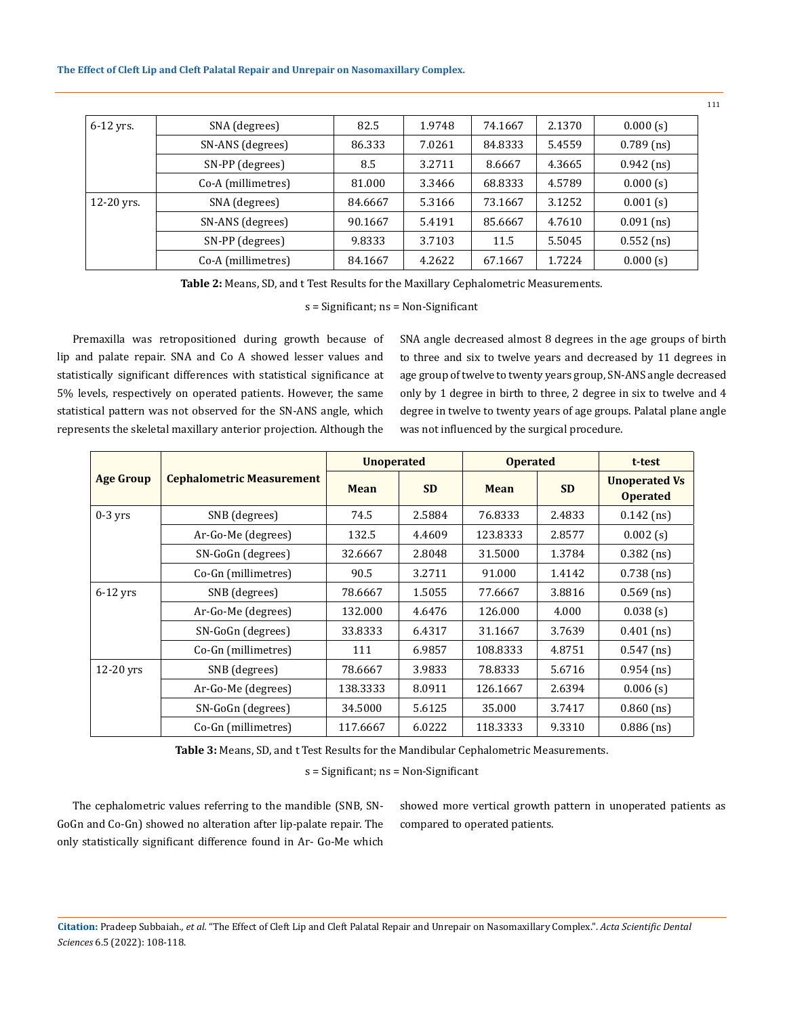### **The Effect of Cleft Lip and Cleft Palatal Repair and Unrepair on Nasomaxillary Complex.**

| $6-12$ yrs.  | SNA (degrees)      | 82.5    | 1.9748 | 74.1667 | 2.1370 | 0.000(s)     |
|--------------|--------------------|---------|--------|---------|--------|--------------|
|              | SN-ANS (degrees)   | 86.333  | 7.0261 | 84.8333 | 5.4559 | $0.789$ (ns) |
|              | SN-PP (degrees)    | 8.5     | 3.2711 | 8.6667  | 4.3665 | $0.942$ (ns) |
|              | Co-A (millimetres) | 81.000  | 3.3466 | 68.8333 | 4.5789 | 0.000(s)     |
| $12-20$ yrs. | SNA (degrees)      | 84.6667 | 5.3166 | 73.1667 | 3.1252 | $0.001$ (s)  |
|              | SN-ANS (degrees)   | 90.1667 | 5.4191 | 85.6667 | 4.7610 | $0.091$ (ns) |
|              | SN-PP (degrees)    | 9.8333  | 3.7103 | 11.5    | 5.5045 | $0.552$ (ns) |
|              | Co-A (millimetres) | 84.1667 | 4.2622 | 67.1667 | 1.7224 | 0.000(s)     |

**Table 2:** Means, SD, and t Test Results for the Maxillary Cephalometric Measurements.

s = Significant; ns = Non-Significant

Premaxilla was retropositioned during growth because of lip and palate repair. SNA and Co A showed lesser values and statistically significant differences with statistical significance at 5% levels, respectively on operated patients. However, the same statistical pattern was not observed for the SN-ANS angle, which represents the skeletal maxillary anterior projection. Although the

SNA angle decreased almost 8 degrees in the age groups of birth to three and six to twelve years and decreased by 11 degrees in age group of twelve to twenty years group, SN-ANS angle decreased only by 1 degree in birth to three, 2 degree in six to twelve and 4 degree in twelve to twenty years of age groups. Palatal plane angle was not influenced by the surgical procedure.

|                  |                                  | <b>Unoperated</b> |           | <b>Operated</b> | t-test    |                                         |
|------------------|----------------------------------|-------------------|-----------|-----------------|-----------|-----------------------------------------|
| <b>Age Group</b> | <b>Cephalometric Measurement</b> | Mean              | <b>SD</b> | <b>Mean</b>     | <b>SD</b> | <b>Unoperated Vs</b><br><b>Operated</b> |
| $0-3$ yrs        | SNB (degrees)                    | 74.5              | 2.5884    | 76.8333         | 2.4833    | $0.142$ (ns)                            |
|                  | Ar-Go-Me (degrees)               | 132.5             | 4.4609    | 123.8333        | 2.8577    | $0.002$ (s)                             |
|                  | SN-GoGn (degrees)                | 32.6667           | 2.8048    | 31.5000         | 1.3784    | $0.382$ (ns)                            |
|                  | Co-Gn (millimetres)              | 90.5              | 3.2711    | 91.000          | 1.4142    | $0.738$ (ns)                            |
| $6-12$ yrs       | SNB (degrees)                    | 78.6667           | 1.5055    | 77.6667         | 3.8816    | $0.569$ (ns)                            |
|                  | Ar-Go-Me (degrees)               | 132.000           | 4.6476    | 126.000         | 4.000     | 0.038(s)                                |
|                  | SN-GoGn (degrees)                | 33.8333           | 6.4317    | 31.1667         | 3.7639    | $0.401$ (ns)                            |
|                  | Co-Gn (millimetres)              | 111               | 6.9857    | 108.8333        | 4.8751    | $0.547$ (ns)                            |
| 12-20 yrs        | SNB (degrees)                    | 78.6667           | 3.9833    | 78.8333         | 5.6716    | $0.954$ (ns)                            |
|                  | Ar-Go-Me (degrees)               | 138.3333          | 8.0911    | 126.1667        | 2.6394    | $0.006$ (s)                             |
|                  | SN-GoGn (degrees)                | 34.5000           | 5.6125    | 35.000          | 3.7417    | $0.860$ (ns)                            |
|                  | Co-Gn (millimetres)              | 117.6667          | 6.0222    | 118.3333        | 9.3310    | $0.886$ (ns)                            |

**Table 3:** Means, SD, and t Test Results for the Mandibular Cephalometric Measurements.

s = Significant; ns = Non-Significant

The cephalometric values referring to the mandible (SNB, SN-GoGn and Co-Gn) showed no alteration after lip-palate repair. The only statistically significant difference found in Ar- Go-Me which showed more vertical growth pattern in unoperated patients as compared to operated patients.

**Citation:** Pradeep Subbaiah*., et al.* "The Effect of Cleft Lip and Cleft Palatal Repair and Unrepair on Nasomaxillary Complex.". *Acta Scientific Dental Sciences* 6.5 (2022): 108-118.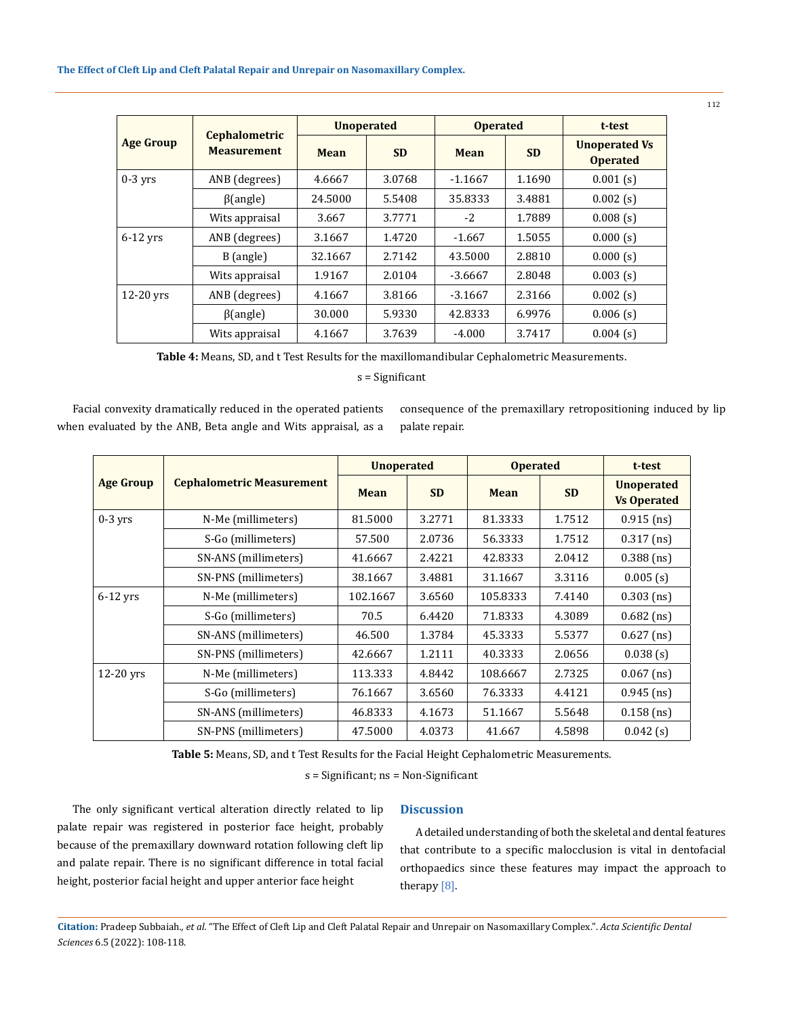|                  | <b>Cephalometric</b><br><b>Measurement</b> | <b>Unoperated</b> |           | <b>Operated</b> |           | t-test                                  |
|------------------|--------------------------------------------|-------------------|-----------|-----------------|-----------|-----------------------------------------|
| <b>Age Group</b> |                                            | <b>Mean</b>       | <b>SD</b> | <b>Mean</b>     | <b>SD</b> | <b>Unoperated Vs</b><br><b>Operated</b> |
| $0-3$ vrs        | ANB (degrees)                              | 4.6667            | 3.0768    | $-1.1667$       | 1.1690    | $0.001$ (s)                             |
|                  | $\beta$ (angle)                            | 24.5000           | 5.5408    | 35.8333         | 3.4881    | $0.002$ (s)                             |
|                  | Wits appraisal                             | 3.667             | 3.7771    | $-2$            | 1.7889    | $0.008$ (s)                             |
| $6-12$ yrs       | ANB (degrees)                              | 3.1667            | 1.4720    | $-1.667$        | 1.5055    | 0.000(s)                                |
|                  | B (angle)                                  | 32.1667           | 2.7142    | 43.5000         | 2.8810    | 0.000(s)                                |
|                  | Wits appraisal                             | 1.9167            | 2.0104    | $-3.6667$       | 2.8048    | $0.003$ (s)                             |
| $12-20$ yrs      | ANB (degrees)                              | 4.1667            | 3.8166    | $-3.1667$       | 2.3166    | $0.002$ (s)                             |
|                  | $\beta$ (angle)                            | 30.000            | 5.9330    | 42.8333         | 6.9976    | $0.006$ (s)                             |
|                  | Wits appraisal                             | 4.1667            | 3.7639    | $-4.000$        | 3.7417    | $0.004$ (s)                             |

**Table 4:** Means, SD, and t Test Results for the maxillomandibular Cephalometric Measurements.

s = Significant

Facial convexity dramatically reduced in the operated patients when evaluated by the ANB, Beta angle and Wits appraisal, as a

consequence of the premaxillary retropositioning induced by lip palate repair.

|                  |                                  | <b>Unoperated</b> |           | <b>Operated</b> | t-test    |                                         |
|------------------|----------------------------------|-------------------|-----------|-----------------|-----------|-----------------------------------------|
| <b>Age Group</b> | <b>Cephalometric Measurement</b> | Mean              | <b>SD</b> | <b>Mean</b>     | <b>SD</b> | <b>Unoperated</b><br><b>Vs Operated</b> |
| $0-3$ vrs        | N-Me (millimeters)               | 81.5000           | 3.2771    | 81.3333         | 1.7512    | $0.915$ (ns)                            |
|                  | S-Go (millimeters)               | 57.500            | 2.0736    | 56.3333         | 1.7512    | $0.317$ (ns)                            |
|                  | SN-ANS (millimeters)             | 41.6667           | 2.4221    | 42.8333         | 2.0412    | $0.388$ (ns)                            |
|                  | SN-PNS (millimeters)             | 38.1667           | 3.4881    | 31.1667         | 3.3116    | $0.005$ (s)                             |
| 6-12 yrs         | N-Me (millimeters)               | 102.1667          | 3.6560    | 105.8333        | 7.4140    | $0.303$ (ns)                            |
|                  | S-Go (millimeters)               | 70.5              | 6.4420    | 71.8333         | 4.3089    | $0.682$ (ns)                            |
|                  | SN-ANS (millimeters)             | 46.500            | 1.3784    | 45.3333         | 5.5377    | $0.627$ (ns)                            |
|                  | SN-PNS (millimeters)             | 42.6667           | 1.2111    | 40.3333         | 2.0656    | $0.038$ (s)                             |
| $12-20$ yrs      | N-Me (millimeters)               | 113.333           | 4.8442    | 108.6667        | 2.7325    | $0.067$ (ns)                            |
|                  | S-Go (millimeters)               | 76.1667           | 3.6560    | 76.3333         | 4.4121    | $0.945$ (ns)                            |
|                  | SN-ANS (millimeters)             | 46.8333           | 4.1673    | 51.1667         | 5.5648    | $0.158$ (ns)                            |
|                  | SN-PNS (millimeters)             | 47.5000           | 4.0373    | 41.667          | 4.5898    | 0.042(s)                                |

**Table 5:** Means, SD, and t Test Results for the Facial Height Cephalometric Measurements.

s = Significant; ns = Non-Significant

The only significant vertical alteration directly related to lip palate repair was registered in posterior face height, probably because of the premaxillary downward rotation following cleft lip and palate repair. There is no significant difference in total facial height, posterior facial height and upper anterior face height

# **Discussion**

A detailed understanding of both the skeletal and dental features that contribute to a specific malocclusion is vital in dentofacial orthopaedics since these features may impact the approach to therapy [8].

**Citation:** Pradeep Subbaiah*., et al.* "The Effect of Cleft Lip and Cleft Palatal Repair and Unrepair on Nasomaxillary Complex.". *Acta Scientific Dental Sciences* 6.5 (2022): 108-118.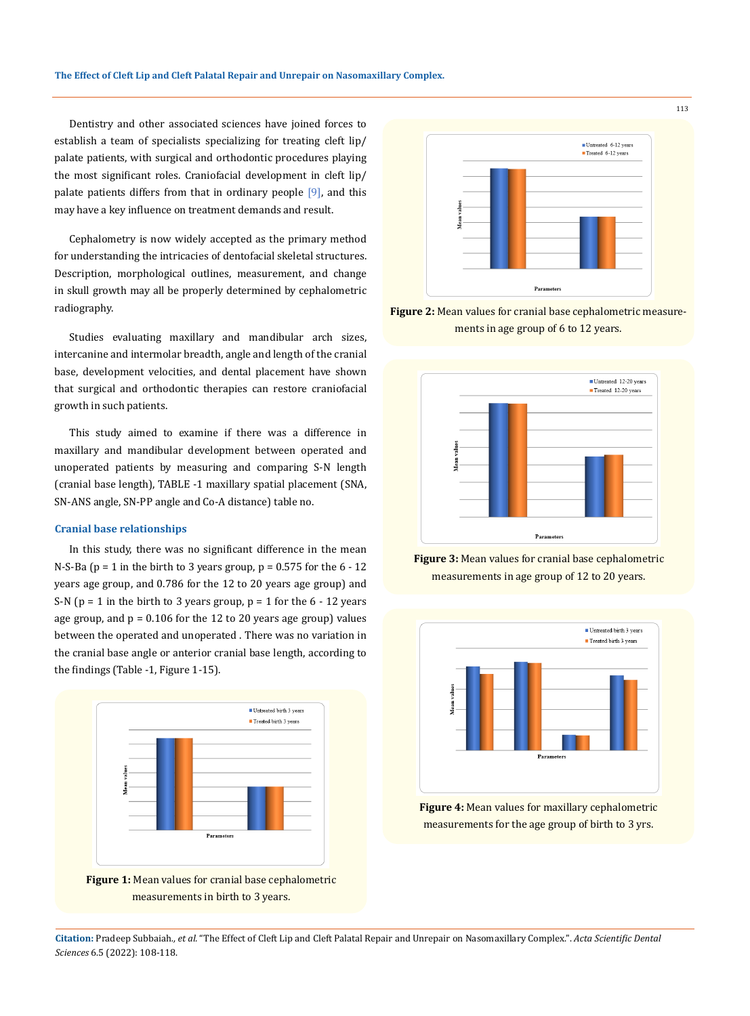Dentistry and other associated sciences have joined forces to establish a team of specialists specializing for treating cleft lip/ palate patients, with surgical and orthodontic procedures playing the most significant roles. Craniofacial development in cleft lip/ palate patients differs from that in ordinary people [9], and this may have a key influence on treatment demands and result.

Cephalometry is now widely accepted as the primary method for understanding the intricacies of dentofacial skeletal structures. Description, morphological outlines, measurement, and change in skull growth may all be properly determined by cephalometric radiography.

Studies evaluating maxillary and mandibular arch sizes, intercanine and intermolar breadth, angle and length of the cranial base, development velocities, and dental placement have shown that surgical and orthodontic therapies can restore craniofacial growth in such patients.

This study aimed to examine if there was a difference in maxillary and mandibular development between operated and unoperated patients by measuring and comparing S-N length (cranial base length), TABLE -1 maxillary spatial placement (SNA, SN-ANS angle, SN-PP angle and Co-A distance) table no.

### **Cranial base relationships**

In this study, there was no significant difference in the mean N-S-Ba ( $p = 1$  in the birth to 3 years group,  $p = 0.575$  for the  $6 - 12$ years age group, and 0.786 for the 12 to 20 years age group) and S-N ( $p = 1$  in the birth to 3 years group,  $p = 1$  for the 6 - 12 years age group, and  $p = 0.106$  for the 12 to 20 years age group) values between the operated and unoperated . There was no variation in the cranial base angle or anterior cranial base length, according to the findings (Table -1, Figure 1-15).



**Figure 1:** Mean values for cranial base cephalometric measurements in birth to 3 years.



**Figure 2:** Mean values for cranial base cephalometric measurements in age group of 6 to 12 years.



**Figure 3:** Mean values for cranial base cephalometric measurements in age group of 12 to 20 years.



**Figure 4:** Mean values for maxillary cephalometric measurements for the age group of birth to 3 yrs.

113

**Citation:** Pradeep Subbaiah*., et al.* "The Effect of Cleft Lip and Cleft Palatal Repair and Unrepair on Nasomaxillary Complex.". *Acta Scientific Dental Sciences* 6.5 (2022): 108-118.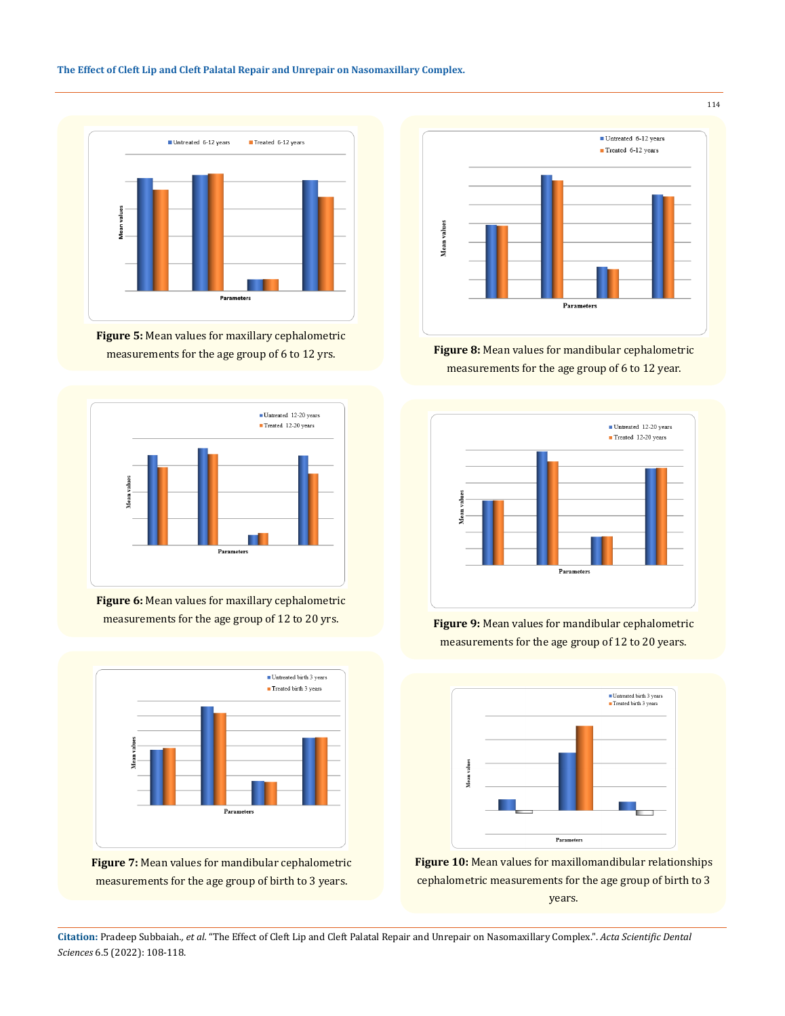## **The Effect of Cleft Lip and Cleft Palatal Repair and Unrepair on Nasomaxillary Complex.**



**Figure 5:** Mean values for maxillary cephalometric measurements for the age group of 6 to 12 yrs.



**Figure 6:** Mean values for maxillary cephalometric measurements for the age group of 12 to 20 yrs.



**Figure 7:** Mean values for mandibular cephalometric measurements for the age group of birth to 3 years.



**Figure 8:** Mean values for mandibular cephalometric measurements for the age group of 6 to 12 year.



**Figure 9:** Mean values for mandibular cephalometric measurements for the age group of 12 to 20 years.



**Figure 10:** Mean values for maxillomandibular relationships cephalometric measurements for the age group of birth to 3 years.

**Citation:** Pradeep Subbaiah*., et al.* "The Effect of Cleft Lip and Cleft Palatal Repair and Unrepair on Nasomaxillary Complex.". *Acta Scientific Dental Sciences* 6.5 (2022): 108-118.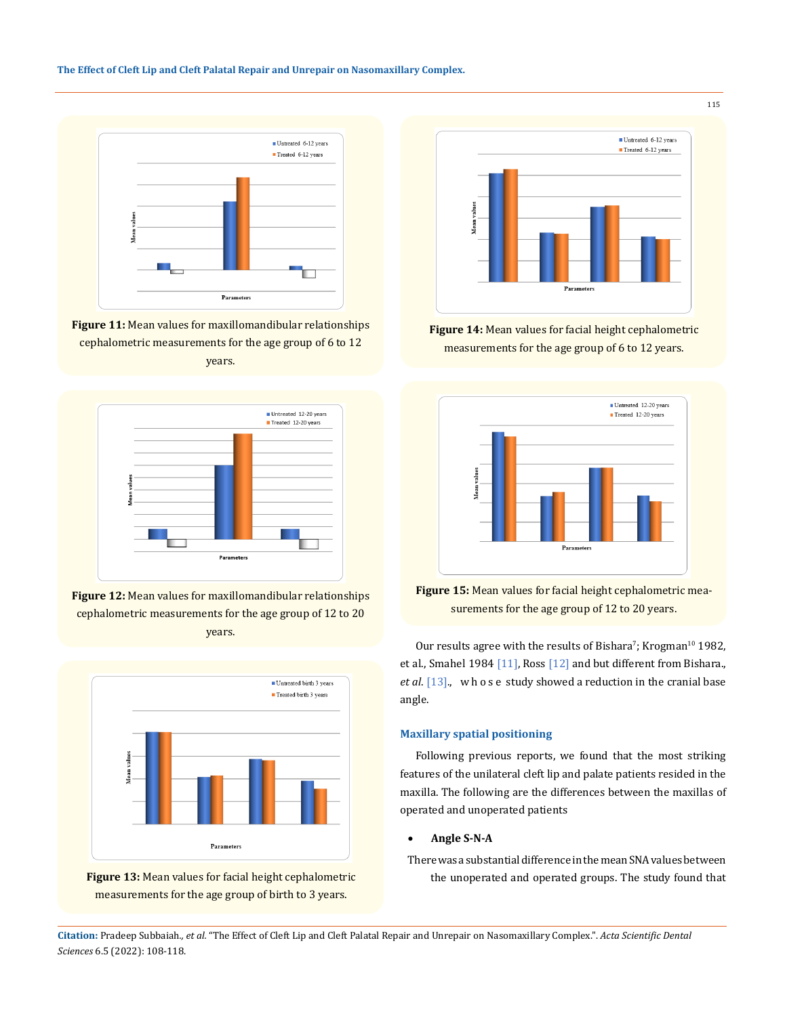

**Figure 11:** Mean values for maxillomandibular relationships cephalometric measurements for the age group of 6 to 12 years.











**Figure 14:** Mean values for facial height cephalometric measurements for the age group of 6 to 12 years.



**Figure 15:** Mean values for facial height cephalometric measurements for the age group of 12 to 20 years.

Our results agree with the results of Bishara'; Krogman $^{10}$  1982, et al., Smahel 1984 [11], Ross [12] and but different from Bishara., *et al*. [13]., w h o s e study showed a reduction in the cranial base angle.

# **Maxillary spatial positioning**

Following previous reports, we found that the most striking features of the unilateral cleft lip and palate patients resided in the maxilla. The following are the differences between the maxillas of operated and unoperated patients

## • **Angle S-N-A**

There was a substantial difference in the mean SNA values between the unoperated and operated groups. The study found that

**Citation:** Pradeep Subbaiah*., et al.* "The Effect of Cleft Lip and Cleft Palatal Repair and Unrepair on Nasomaxillary Complex.". *Acta Scientific Dental Sciences* 6.5 (2022): 108-118.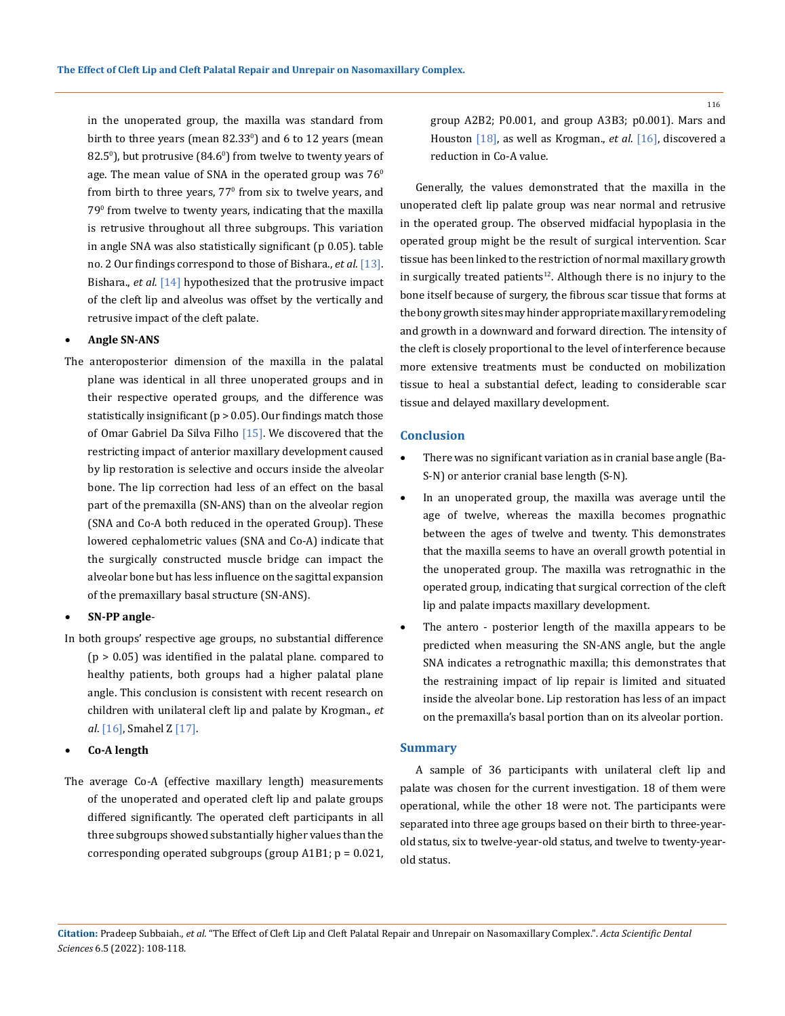in the unoperated group, the maxilla was standard from birth to three years (mean  $82.33^{\circ}$ ) and 6 to 12 years (mean  $(82.5^\circ)$ , but protrusive  $(84.6^\circ)$  from twelve to twenty years of age. The mean value of SNA in the operated group was  $76^{\circ}$ from birth to three years,  $77^{\circ}$  from six to twelve years, and 79º from twelve to twenty years, indicating that the maxilla is retrusive throughout all three subgroups. This variation in angle SNA was also statistically significant (p 0.05). table no. 2 Our findings correspond to those of Bishara., *et al.* [13]. Bishara., *et al.* [14] hypothesized that the protrusive impact of the cleft lip and alveolus was offset by the vertically and retrusive impact of the cleft palate.

# **Angle SN-ANS**

The anteroposterior dimension of the maxilla in the palatal plane was identical in all three unoperated groups and in their respective operated groups, and the difference was statistically insignificant (p > 0.05). Our findings match those of Omar Gabriel Da Silva Filho [15]. We discovered that the restricting impact of anterior maxillary development caused by lip restoration is selective and occurs inside the alveolar bone. The lip correction had less of an effect on the basal part of the premaxilla (SN-ANS) than on the alveolar region (SNA and Co-A both reduced in the operated Group). These lowered cephalometric values (SNA and Co-A) indicate that the surgically constructed muscle bridge can impact the alveolar bone but has less influence on the sagittal expansion of the premaxillary basal structure (SN-ANS).

## SN-PP angle-

In both groups' respective age groups, no substantial difference  $(p > 0.05)$  was identified in the palatal plane. compared to healthy patients, both groups had a higher palatal plane angle. This conclusion is consistent with recent research on children with unilateral cleft lip and palate by Krogman., *et al*. [16], Smahel Z [17].

### Co-A length

The average Co-A (effective maxillary length) measurements of the unoperated and operated cleft lip and palate groups differed significantly. The operated cleft participants in all three subgroups showed substantially higher values than the corresponding operated subgroups (group  $A1B1$ ;  $p = 0.021$ , group A2B2; P0.001, and group A3B3; p0.001). Mars and Houston [18], as well as Krogman., *et al*. [16], discovered a reduction in Co-A value.

Generally, the values demonstrated that the maxilla in the unoperated cleft lip palate group was near normal and retrusive in the operated group. The observed midfacial hypoplasia in the operated group might be the result of surgical intervention. Scar tissue has been linked to the restriction of normal maxillary growth in surgically treated patients<sup>12</sup>. Although there is no injury to the bone itself because of surgery, the fibrous scar tissue that forms at the bony growth sites may hinder appropriate maxillary remodeling and growth in a downward and forward direction. The intensity of the cleft is closely proportional to the level of interference because more extensive treatments must be conducted on mobilization tissue to heal a substantial defect, leading to considerable scar tissue and delayed maxillary development.

### **Conclusion**

- There was no significant variation as in cranial base angle (Ba-S-N) or anterior cranial base length (S-N).
- In an unoperated group, the maxilla was average until the age of twelve, whereas the maxilla becomes prognathic between the ages of twelve and twenty. This demonstrates that the maxilla seems to have an overall growth potential in the unoperated group. The maxilla was retrognathic in the operated group, indicating that surgical correction of the cleft lip and palate impacts maxillary development.
- The antero posterior length of the maxilla appears to be predicted when measuring the SN-ANS angle, but the angle SNA indicates a retrognathic maxilla; this demonstrates that the restraining impact of lip repair is limited and situated inside the alveolar bone. Lip restoration has less of an impact on the premaxilla's basal portion than on its alveolar portion.

### **Summary**

A sample of 36 participants with unilateral cleft lip and palate was chosen for the current investigation. 18 of them were operational, while the other 18 were not. The participants were separated into three age groups based on their birth to three-yearold status, six to twelve-year-old status, and twelve to twenty-yearold status.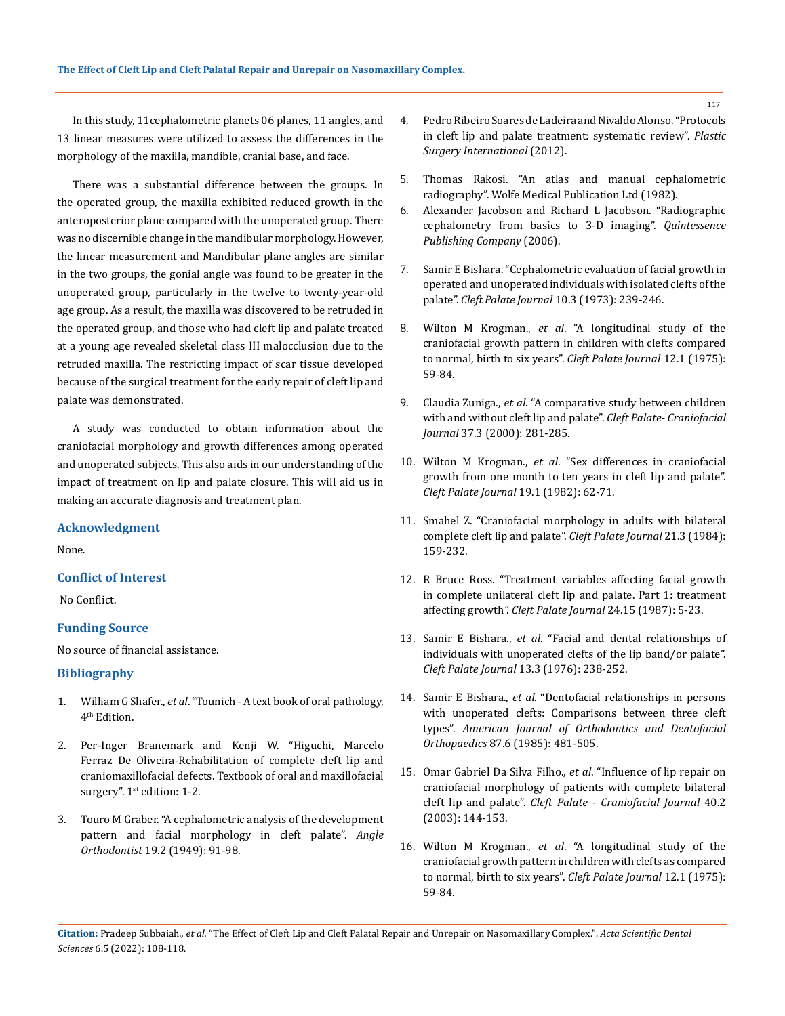In this study, 11cephalometric planets 06 planes, 11 angles, and 13 linear measures were utilized to assess the differences in the morphology of the maxilla, mandible, cranial base, and face.

There was a substantial difference between the groups. In the operated group, the maxilla exhibited reduced growth in the anteroposterior plane compared with the unoperated group. There was no discernible change in the mandibular morphology. However, the linear measurement and Mandibular plane angles are similar in the two groups, the gonial angle was found to be greater in the unoperated group, particularly in the twelve to twenty-year-old age group. As a result, the maxilla was discovered to be retruded in the operated group, and those who had cleft lip and palate treated at a young age revealed skeletal class III malocclusion due to the retruded maxilla. The restricting impact of scar tissue developed because of the surgical treatment for the early repair of cleft lip and palate was demonstrated.

A study was conducted to obtain information about the craniofacial morphology and growth differences among operated and unoperated subjects. This also aids in our understanding of the impact of treatment on lip and palate closure. This will aid us in making an accurate diagnosis and treatment plan.

### **Acknowledgment**

None.

# **Conflict of Interest**

No Conflict.

# **Funding Source**

No source of financial assistance.

### **Bibliography**

- 1. William G Shafer., *et al*[. "Tounich A text book of oral pathology,](https://www.pdfdrive.com/shafers-textbook-of-oral-pathology-e186499958.html)  4<sup>th</sup> Edition.
- 2. Per-Inger Branemark and Kenji W. "Higuchi, Marcelo Ferraz De Oliveira-Rehabilitation of complete cleft lip and craniomaxillofacial defects. Textbook of oral and maxillofacial surgery".  $1<sup>st</sup>$  edition: 1-2.
- 3. [Touro M Graber. "A cephalometric analysis of the development](https://pubmed.ncbi.nlm.nih.gov/25169446/)  [pattern and facial morphology in cleft palate".](https://pubmed.ncbi.nlm.nih.gov/25169446/) *Angle Orthodontist* [19.2 \(1949\): 91-98.](https://pubmed.ncbi.nlm.nih.gov/25169446/)
- 4. [Pedro Ribeiro Soares de Ladeira and Nivaldo Alonso. "Protocols](https://pubmed.ncbi.nlm.nih.gov/23213503/)  [in cleft lip and palate treatment: systematic review".](https://pubmed.ncbi.nlm.nih.gov/23213503/) *Plastic [Surgery International](https://pubmed.ncbi.nlm.nih.gov/23213503/)* (2012).
- 5. [Thomas Rakosi. "An atlas and manual cephalometric](https://academic.oup.com/ejo/article-abstract/4/4/299/413515?redirectedFrom=PDF)  [radiography". Wolfe Medical Publication Ltd \(1982\).](https://academic.oup.com/ejo/article-abstract/4/4/299/413515?redirectedFrom=PDF)
- 6. [Alexander Jacobson and Richard L Jacobson. "Radiographic](https://www.ajodo.org/article/S0889-5406%2807%2900194-1/fulltext)  [cephalometry from basics to 3-D imaging".](https://www.ajodo.org/article/S0889-5406%2807%2900194-1/fulltext) *Quintessence [Publishing Company](https://www.ajodo.org/article/S0889-5406%2807%2900194-1/fulltext)* (2006).
- 7. [Samir E Bishara. "Cephalometric evaluation of facial growth in](https://pubmed.ncbi.nlm.nih.gov/4513913/)  [operated and unoperated](https://pubmed.ncbi.nlm.nih.gov/4513913/) individualswith isolated clefts ofthe palate". *Cleft Palate Journal* [10.3 \(1973\): 239-246.](https://pubmed.ncbi.nlm.nih.gov/4513913/)
- 8. Wilton M Krogman., *et al*[. "A longitudinal study of the](https://pubmed.ncbi.nlm.nih.gov/1053964/)  [craniofacial growth pattern in children with](https://pubmed.ncbi.nlm.nih.gov/1053964/) clefts compared to normal, birth to six years". *Cleft Palate Journal* [12.1 \(1975\):](https://pubmed.ncbi.nlm.nih.gov/1053964/)  [59-84.](https://pubmed.ncbi.nlm.nih.gov/1053964/)
- 9. Claudia Zuniga., *et al.* ["A comparative study between children](https://pubmed.ncbi.nlm.nih.gov/10830808/)  [with and without cleft lip and palate".](https://pubmed.ncbi.nlm.nih.gov/10830808/) *Cleft Palate- Craniofacial Journal* [37.3 \(2000\): 281-285.](https://pubmed.ncbi.nlm.nih.gov/10830808/)
- 10. Wilton M Krogman., *et al*[. "Sex differences in craniofacial](http://cleftpalatejournal.pitt.edu/ojs/cleftpalate/article/download/913/913/)  [growth from one month to ten years in cleft lip and palate".](http://cleftpalatejournal.pitt.edu/ojs/cleftpalate/article/download/913/913/)  *[Cleft Palate Journal](http://cleftpalatejournal.pitt.edu/ojs/cleftpalate/article/download/913/913/)* 19.1 (1982): 62-71.
- 11. [Smahel Z. "Craniofacial morphology in adults with bilateral](https://pubmed.ncbi.nlm.nih.gov/6592058/)  [complete cleft lip and palate".](https://pubmed.ncbi.nlm.nih.gov/6592058/) *Cleft Palate Journal* 21.3 (1984): [159-232.](https://pubmed.ncbi.nlm.nih.gov/6592058/)
- 12. [R Bruce Ross. "Treatment variables affecting facial growth](https://pubmed.ncbi.nlm.nih.gov/3542303/)  [in complete unilateral cleft lip and palate. Part 1: treatment](https://pubmed.ncbi.nlm.nih.gov/3542303/)  affecting growth*[". Cleft Palate Journal](https://pubmed.ncbi.nlm.nih.gov/3542303/)* 24.15 (1987): 5-23.
- 13. Samir E Bishara., *et al*[. "Facial and dental relationships of](https://pubmed.ncbi.nlm.nih.gov/1065516/)  [individuals with unoperated clefts of the lip band/or palate".](https://pubmed.ncbi.nlm.nih.gov/1065516/)  *[Cleft Palate Journal](https://pubmed.ncbi.nlm.nih.gov/1065516/)* 13.3 (1976): 238-252.
- 14. Samir E Bishara., *et al*[. "Dentofacial relationships in persons](https://pubmed.ncbi.nlm.nih.gov/3859224/)  [with unoperated clefts: Comparisons between three cleft](https://pubmed.ncbi.nlm.nih.gov/3859224/)  types". *[American Journal of Orthodontics and Dentofacial](https://pubmed.ncbi.nlm.nih.gov/3859224/)  Orthopaedics* [87.6 \(1985\): 481-505.](https://pubmed.ncbi.nlm.nih.gov/3859224/)
- 15. [Omar Gabriel Da Silva Filho.,](https://pubmed.ncbi.nlm.nih.gov/12605519/) *et al*. "Influence of lip repair on [craniofacial morphology of patients with complete bilateral](https://pubmed.ncbi.nlm.nih.gov/12605519/)  cleft lip and palate". *[Cleft Palate - Craniofacial Journal](https://pubmed.ncbi.nlm.nih.gov/12605519/)* 40.2 [\(2003\): 144-153.](https://pubmed.ncbi.nlm.nih.gov/12605519/)
- 16. Wilton M Krogman., *et al*[. "A longitudinal study of the](https://pubmed.ncbi.nlm.nih.gov/1053964/)  [craniofacial growth pattern in children with clefts as compared](https://pubmed.ncbi.nlm.nih.gov/1053964/)  [to normal, birth to six years".](https://pubmed.ncbi.nlm.nih.gov/1053964/) *Cleft Palate Journal* 12.1 (1975): [59-84.](https://pubmed.ncbi.nlm.nih.gov/1053964/)